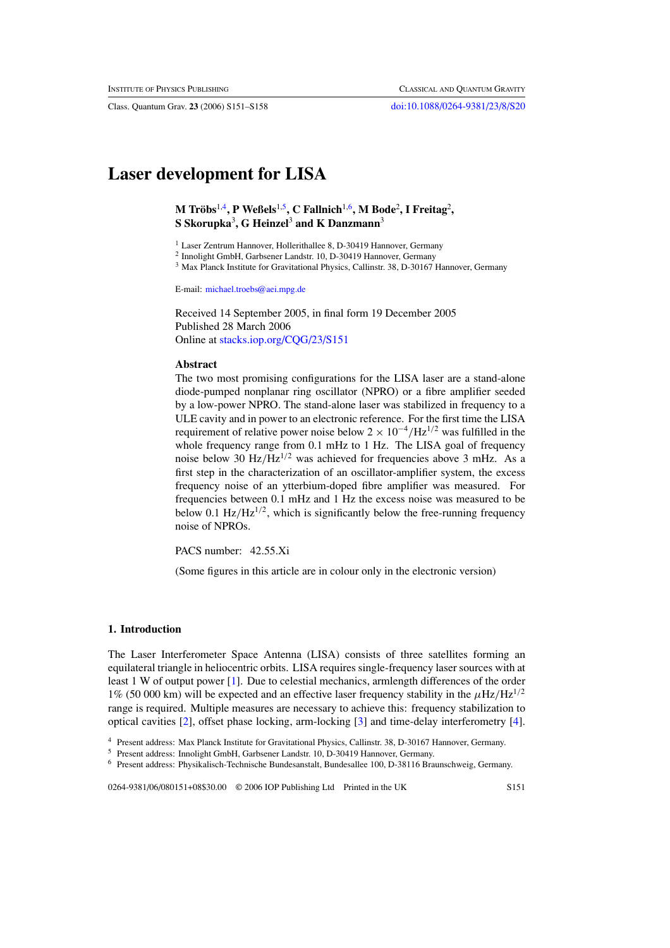Class. Quantum Grav. **23** (2006) S151–S158 [doi:10.1088/0264-9381/23/8/S20](http://dx.doi.org/10.1088/0264-9381/23/8/S20)

# **Laser development for LISA**

**M Trobs ¨** 1,4**, P Weßels**1,5**, C Fallnich**1,6**, M Bode**<sup>2</sup> **, I Freitag**<sup>2</sup> **, S Skorupka**<sup>3</sup> **, G Heinzel**<sup>3</sup> **and K Danzmann**<sup>3</sup>

<sup>1</sup> Laser Zentrum Hannover, Hollerithallee 8, D-30419 Hannover, Germany

<sup>2</sup> Innolight GmbH, Garbsener Landstr. 10, D-30419 Hannover, Germany

<sup>3</sup> Max Planck Institute for Gravitational Physics, Callinstr. 38, D-30167 Hannover, Germany

E-mail: [michael.troebs@aei.mpg.de](mailto:michael.troebs@aei.mpg.de)

Received 14 September 2005, in final form 19 December 2005 Published 28 March 2006 Online at [stacks.iop.org/CQG/23/S151](http://stacks.iop.org/CQG/23/S151)

# **Abstract**

The two most promising configurations for the LISA laser are a stand-alone diode-pumped nonplanar ring oscillator (NPRO) or a fibre amplifier seeded by a low-power NPRO. The stand-alone laser was stabilized in frequency to a ULE cavity and in power to an electronic reference. For the first time the LISA requirement of relative power noise below 2 <sup>×</sup> <sup>10</sup>−4*/*Hz<sup>1</sup>*/*<sup>2</sup> was fulfilled in the whole frequency range from 0.1 mHz to 1 Hz. The LISA goal of frequency noise below 30  $Hz/Hz^{1/2}$  was achieved for frequencies above 3 mHz. As a first step in the characterization of an oscillator-amplifier system, the excess frequency noise of an ytterbium-doped fibre amplifier was measured. For frequencies between 0.1 mHz and 1 Hz the excess noise was measured to be below 0.1  $Hz/Hz^{1/2}$ , which is significantly below the free-running frequency noise of NPROs.

PACS number: 42.55.Xi

(Some figures in this article are in colour only in the electronic version)

#### **1. Introduction**

The Laser Interferometer Space Antenna (LISA) consists of three satellites forming an equilateral triangle in heliocentric orbits. LISA requires single-frequency laser sources with at least 1 W of output power [\[1](#page-7-0)]. Due to celestial mechanics, armlength differences of the order 1% (50 000 km) will be expected and an effective laser frequency stability in the  $\mu$ Hz/Hz<sup>1/2</sup> range is required. Multiple measures are necessary to achieve this: frequency stabilization to optical cavities [\[2](#page-7-0)], offset phase locking, arm-locking [\[3\]](#page-7-0) and time-delay interferometry [\[4\]](#page-7-0).

0264-9381/06/080151+08\$30.00 © 2006 IOP Publishing Ltd Printed in the UK S151

<sup>4</sup> Present address: Max Planck Institute for Gravitational Physics, Callinstr. 38, D-30167 Hannover, Germany.

<sup>5</sup> Present address: Innolight GmbH, Garbsener Landstr. 10, D-30419 Hannover, Germany.

<sup>6</sup> Present address: Physikalisch-Technische Bundesanstalt, Bundesallee 100, D-38116 Braunschweig, Germany.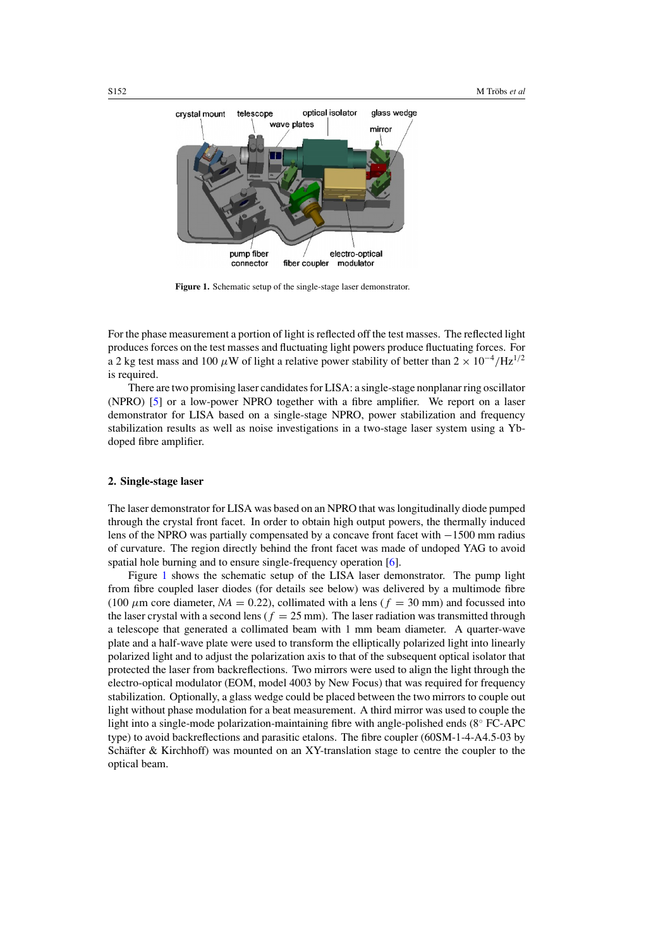<span id="page-1-0"></span>

**Figure 1.** Schematic setup of the single-stage laser demonstrator.

For the phase measurement a portion of light is reflected off the test masses. The reflected light produces forces on the test masses and fluctuating light powers produce fluctuating forces. For a 2 kg test mass and 100  $\mu$ W of light a relative power stability of better than 2 × 10<sup>-4</sup>/Hz<sup>1/2</sup> is required.

There are two promising laser candidates for LISA: a single-stage nonplanar ring oscillator (NPRO) [\[5](#page-7-0)] or a low-power NPRO together with a fibre amplifier. We report on a laser demonstrator for LISA based on a single-stage NPRO, power stabilization and frequency stabilization results as well as noise investigations in a two-stage laser system using a Ybdoped fibre amplifier.

# **2. Single-stage laser**

The laser demonstrator for LISA was based on an NPRO that was longitudinally diode pumped through the crystal front facet. In order to obtain high output powers, the thermally induced lens of the NPRO was partially compensated by a concave front facet with −1500 mm radius of curvature. The region directly behind the front facet was made of undoped YAG to avoid spatial hole burning and to ensure single-frequency operation [\[6\]](#page-7-0).

Figure 1 shows the schematic setup of the LISA laser demonstrator. The pump light from fibre coupled laser diodes (for details see below) was delivered by a multimode fibre (100  $\mu$ m core diameter,  $NA = 0.22$ ), collimated with a lens ( $f = 30$  mm) and focussed into the laser crystal with a second lens ( $f = 25$  mm). The laser radiation was transmitted through a telescope that generated a collimated beam with 1 mm beam diameter. A quarter-wave plate and a half-wave plate were used to transform the elliptically polarized light into linearly polarized light and to adjust the polarization axis to that of the subsequent optical isolator that protected the laser from backreflections. Two mirrors were used to align the light through the electro-optical modulator (EOM, model 4003 by New Focus) that was required for frequency stabilization. Optionally, a glass wedge could be placed between the two mirrors to couple out light without phase modulation for a beat measurement. A third mirror was used to couple the light into a single-mode polarization-maintaining fibre with angle-polished ends (8◦ FC-APC type) to avoid backreflections and parasitic etalons. The fibre coupler (60SM-1-4-A4.5-03 by Schäfter & Kirchhoff) was mounted on an XY-translation stage to centre the coupler to the optical beam.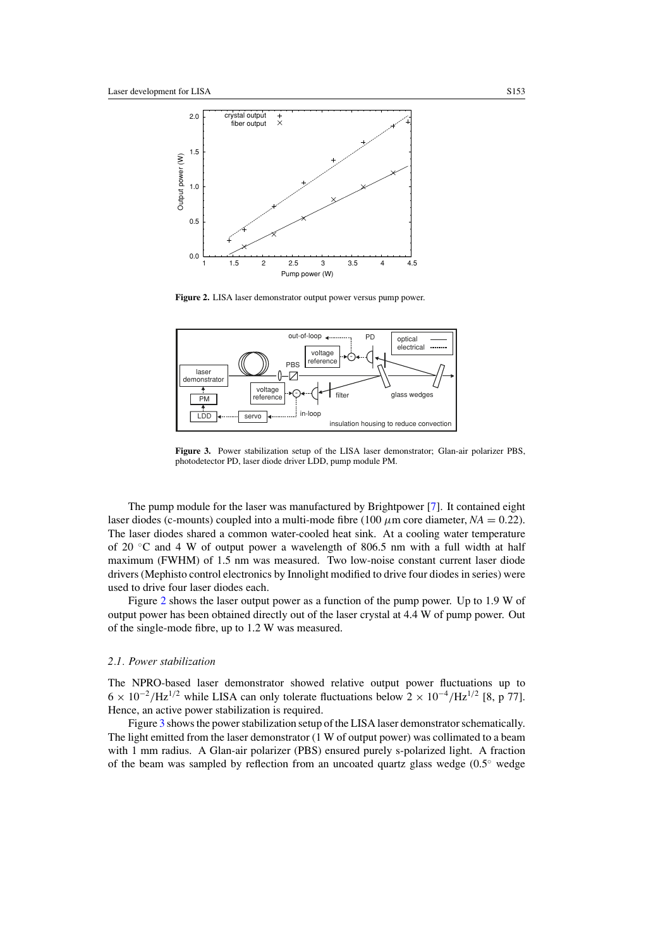

Figure 2. LISA laser demonstrator output power versus pump power.



**Figure 3.** Power stabilization setup of the LISA laser demonstrator; Glan-air polarizer PBS, photodetector PD, laser diode driver LDD, pump module PM.

The pump module for the laser was manufactured by Brightpower [\[7\]](#page-7-0). It contained eight laser diodes (c-mounts) coupled into a multi-mode fibre (100  $\mu$ m core diameter, *NA* = 0.22). The laser diodes shared a common water-cooled heat sink. At a cooling water temperature of 20  $\degree$ C and 4 W of output power a wavelength of 806.5 nm with a full width at half maximum (FWHM) of 1.5 nm was measured. Two low-noise constant current laser diode drivers (Mephisto control electronics by Innolight modified to drive four diodes in series) were used to drive four laser diodes each.

Figure 2 shows the laser output power as a function of the pump power. Up to 1.9 W of output power has been obtained directly out of the laser crystal at 4.4 W of pump power. Out of the single-mode fibre, up to 1.2 W was measured.

## *2.1. Power stabilization*

The NPRO-based laser demonstrator showed relative output power fluctuations up to  $6 \times 10^{-2}$ /Hz<sup>1/2</sup> while LISA can only tolerate fluctuations below  $2 \times 10^{-4}$ /Hz<sup>1/2</sup> [8, p 77]. Hence, an active power stabilization is required.

Figure 3 shows the power stabilization setup of the LISA laser demonstrator schematically. The light emitted from the laser demonstrator (1 W of output power) was collimated to a beam with 1 mm radius. A Glan-air polarizer (PBS) ensured purely s-polarized light. A fraction of the beam was sampled by reflection from an uncoated quartz glass wedge  $(0.5° \text{ wedge})$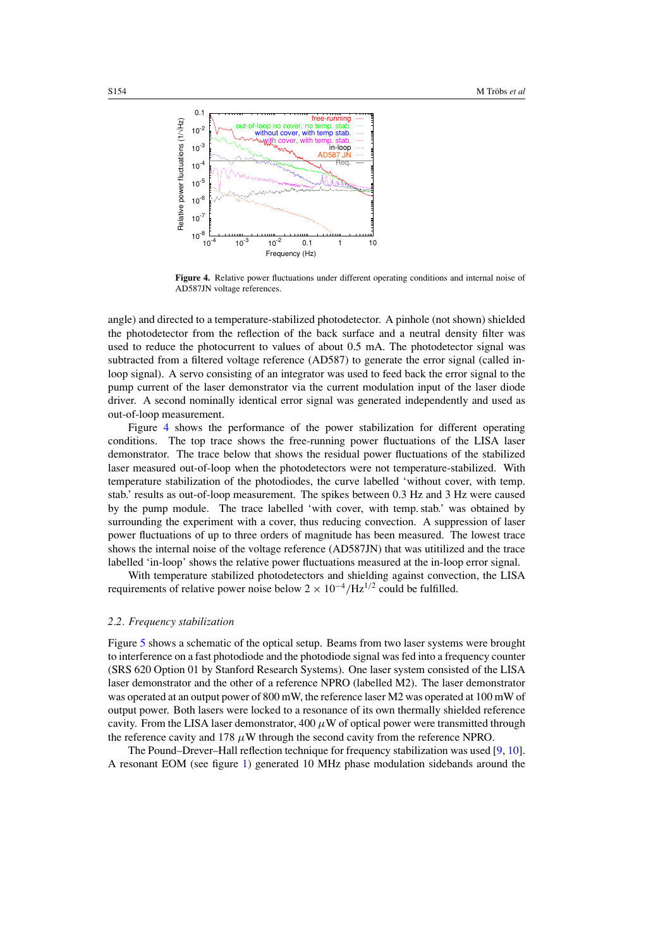

**Figure 4.** Relative power fluctuations under different operating conditions and internal noise of AD587JN voltage references.

angle) and directed to a temperature-stabilized photodetector. A pinhole (not shown) shielded the photodetector from the reflection of the back surface and a neutral density filter was used to reduce the photocurrent to values of about 0.5 mA. The photodetector signal was subtracted from a filtered voltage reference (AD587) to generate the error signal (called inloop signal). A servo consisting of an integrator was used to feed back the error signal to the pump current of the laser demonstrator via the current modulation input of the laser diode driver. A second nominally identical error signal was generated independently and used as out-of-loop measurement.

Figure 4 shows the performance of the power stabilization for different operating conditions. The top trace shows the free-running power fluctuations of the LISA laser demonstrator. The trace below that shows the residual power fluctuations of the stabilized laser measured out-of-loop when the photodetectors were not temperature-stabilized. With temperature stabilization of the photodiodes, the curve labelled 'without cover, with temp. stab.' results as out-of-loop measurement. The spikes between 0.3 Hz and 3 Hz were caused by the pump module. The trace labelled 'with cover, with temp. stab.' was obtained by surrounding the experiment with a cover, thus reducing convection. A suppression of laser power fluctuations of up to three orders of magnitude has been measured. The lowest trace shows the internal noise of the voltage reference (AD587JN) that was utitilized and the trace labelled 'in-loop' shows the relative power fluctuations measured at the in-loop error signal.

With temperature stabilized photodetectors and shielding against convection, the LISA requirements of relative power noise below  $2 \times 10^{-4} / \text{Hz}^{1/2}$  could be fulfilled.

#### *2.2. Frequency stabilization*

Figure [5](#page-4-0) shows a schematic of the optical setup. Beams from two laser systems were brought to interference on a fast photodiode and the photodiode signal was fed into a frequency counter (SRS 620 Option 01 by Stanford Research Systems). One laser system consisted of the LISA laser demonstrator and the other of a reference NPRO (labelled M2). The laser demonstrator was operated at an output power of 800 mW, the reference laser M2 was operated at 100 mW of output power. Both lasers were locked to a resonance of its own thermally shielded reference cavity. From the LISA laser demonstrator,  $400 \mu W$  of optical power were transmitted through the reference cavity and 178  $\mu$ W through the second cavity from the reference NPRO.

The Pound–Drever–Hall reflection technique for frequency stabilization was used [\[9](#page-7-0), [10\]](#page-7-0). A resonant EOM (see figure [1\)](#page-1-0) generated 10 MHz phase modulation sidebands around the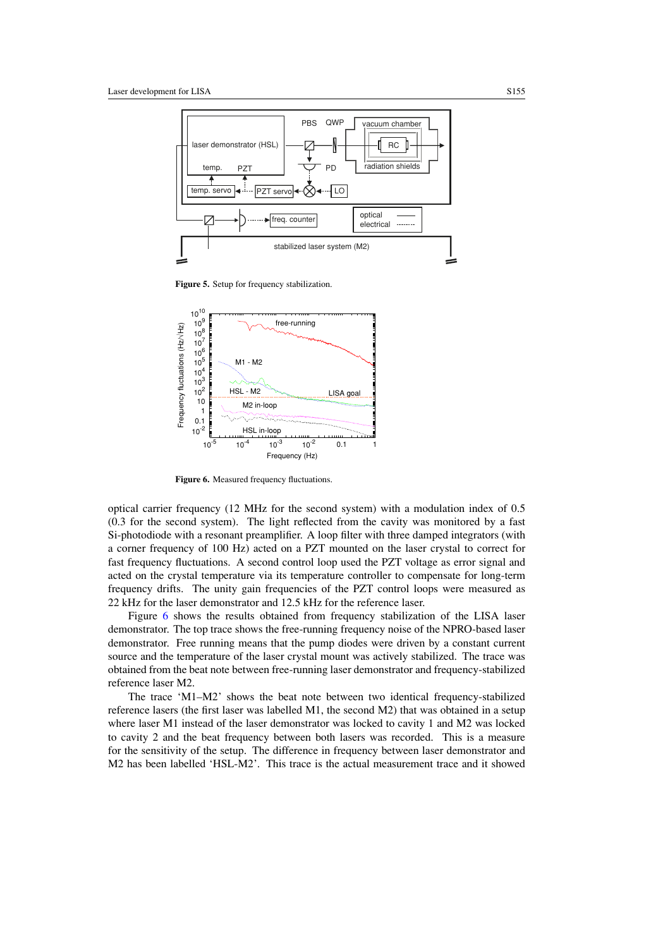<span id="page-4-0"></span>

**Figure 5.** Setup for frequency stabilization.



Figure 6. Measured frequency fluctuations.

optical carrier frequency (12 MHz for the second system) with a modulation index of 0.5 (0.3 for the second system). The light reflected from the cavity was monitored by a fast Si-photodiode with a resonant preamplifier. A loop filter with three damped integrators (with a corner frequency of 100 Hz) acted on a PZT mounted on the laser crystal to correct for fast frequency fluctuations. A second control loop used the PZT voltage as error signal and acted on the crystal temperature via its temperature controller to compensate for long-term frequency drifts. The unity gain frequencies of the PZT control loops were measured as 22 kHz for the laser demonstrator and 12.5 kHz for the reference laser.

Figure 6 shows the results obtained from frequency stabilization of the LISA laser demonstrator. The top trace shows the free-running frequency noise of the NPRO-based laser demonstrator. Free running means that the pump diodes were driven by a constant current source and the temperature of the laser crystal mount was actively stabilized. The trace was obtained from the beat note between free-running laser demonstrator and frequency-stabilized reference laser M2.

The trace 'M1–M2' shows the beat note between two identical frequency-stabilized reference lasers (the first laser was labelled M1, the second M2) that was obtained in a setup where laser M1 instead of the laser demonstrator was locked to cavity 1 and M2 was locked to cavity 2 and the beat frequency between both lasers was recorded. This is a measure for the sensitivity of the setup. The difference in frequency between laser demonstrator and M2 has been labelled 'HSL-M2'. This trace is the actual measurement trace and it showed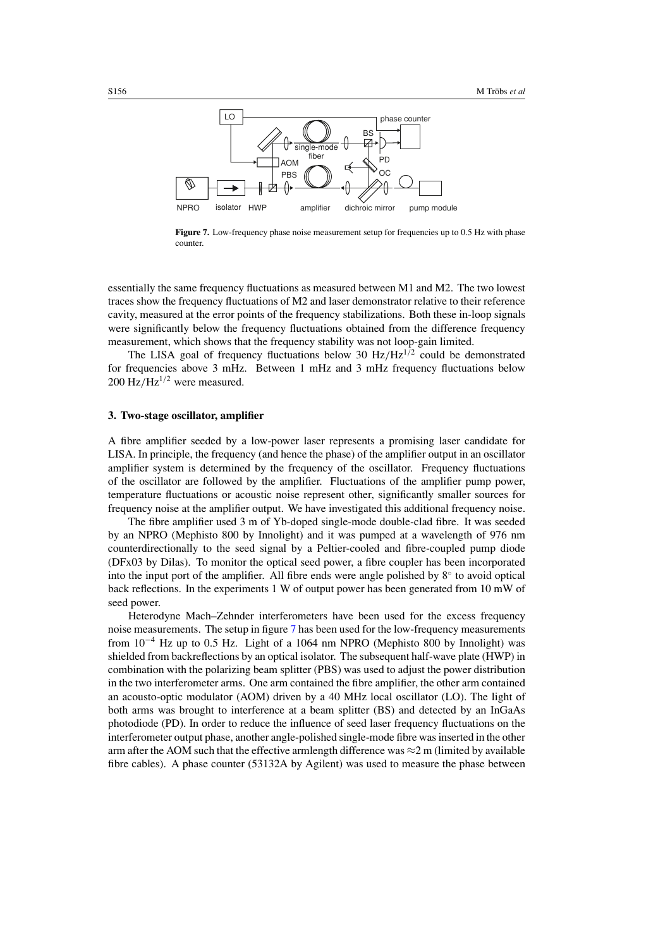

**Figure 7.** Low-frequency phase noise measurement setup for frequencies up to 0.5 Hz with phase counter.

essentially the same frequency fluctuations as measured between M1 and M2. The two lowest traces show the frequency fluctuations of M2 and laser demonstrator relative to their reference cavity, measured at the error points of the frequency stabilizations. Both these in-loop signals were significantly below the frequency fluctuations obtained from the difference frequency measurement, which shows that the frequency stability was not loop-gain limited.

The LISA goal of frequency fluctuations below 30  $Hz/Hz^{1/2}$  could be demonstrated for frequencies above 3 mHz. Between 1 mHz and 3 mHz frequency fluctuations below 200 Hz/Hz<sup>1/2</sup> were measured.

#### **3. Two-stage oscillator, amplifier**

A fibre amplifier seeded by a low-power laser represents a promising laser candidate for LISA. In principle, the frequency (and hence the phase) of the amplifier output in an oscillator amplifier system is determined by the frequency of the oscillator. Frequency fluctuations of the oscillator are followed by the amplifier. Fluctuations of the amplifier pump power, temperature fluctuations or acoustic noise represent other, significantly smaller sources for frequency noise at the amplifier output. We have investigated this additional frequency noise.

The fibre amplifier used 3 m of Yb-doped single-mode double-clad fibre. It was seeded by an NPRO (Mephisto 800 by Innolight) and it was pumped at a wavelength of 976 nm counterdirectionally to the seed signal by a Peltier-cooled and fibre-coupled pump diode (DFx03 by Dilas). To monitor the optical seed power, a fibre coupler has been incorporated into the input port of the amplifier. All fibre ends were angle polished by  $8°$  to avoid optical back reflections. In the experiments 1 W of output power has been generated from 10 mW of seed power.

Heterodyne Mach–Zehnder interferometers have been used for the excess frequency noise measurements. The setup in figure 7 has been used for the low-frequency measurements from 10−<sup>4</sup> Hz up to 0.5 Hz. Light of a 1064 nm NPRO (Mephisto 800 by Innolight) was shielded from backreflections by an optical isolator. The subsequent half-wave plate (HWP) in combination with the polarizing beam splitter (PBS) was used to adjust the power distribution in the two interferometer arms. One arm contained the fibre amplifier, the other arm contained an acousto-optic modulator (AOM) driven by a 40 MHz local oscillator (LO). The light of both arms was brought to interference at a beam splitter (BS) and detected by an InGaAs photodiode (PD). In order to reduce the influence of seed laser frequency fluctuations on the interferometer output phase, another angle-polished single-mode fibre was inserted in the other arm after the AOM such that the effective armlength difference was  $\approx$  2 m (limited by available fibre cables). A phase counter (53132A by Agilent) was used to measure the phase between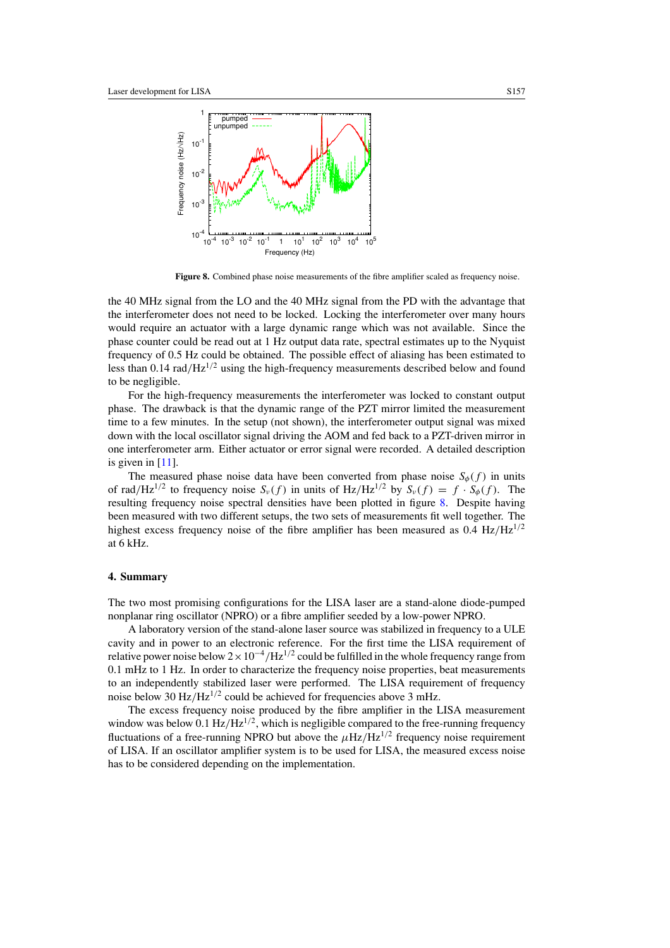

**Figure 8.** Combined phase noise measurements of the fibre amplifier scaled as frequency noise.

the 40 MHz signal from the LO and the 40 MHz signal from the PD with the advantage that the interferometer does not need to be locked. Locking the interferometer over many hours would require an actuator with a large dynamic range which was not available. Since the phase counter could be read out at 1 Hz output data rate, spectral estimates up to the Nyquist frequency of 0.5 Hz could be obtained. The possible effect of aliasing has been estimated to less than  $0.14$  rad/ $Hz^{1/2}$  using the high-frequency measurements described below and found to be negligible.

For the high-frequency measurements the interferometer was locked to constant output phase. The drawback is that the dynamic range of the PZT mirror limited the measurement time to a few minutes. In the setup (not shown), the interferometer output signal was mixed down with the local oscillator signal driving the AOM and fed back to a PZT-driven mirror in one interferometer arm. Either actuator or error signal were recorded. A detailed description is given in  $[11]$ .

The measured phase noise data have been converted from phase noise  $S_{\phi}(f)$  in units of rad/Hz<sup>1/2</sup> to frequency noise  $S_v(f)$  in units of Hz/Hz<sup>1/2</sup> by  $S_v(f) = f \cdot S_\phi(f)$ . The resulting frequency noise spectral densities have been plotted in figure 8. Despite having been measured with two different setups, the two sets of measurements fit well together. The highest excess frequency noise of the fibre amplifier has been measured as  $0.4 \text{ Hz}/\text{Hz}^{1/2}$ at 6 kHz.

### **4. Summary**

The two most promising configurations for the LISA laser are a stand-alone diode-pumped nonplanar ring oscillator (NPRO) or a fibre amplifier seeded by a low-power NPRO.

A laboratory version of the stand-alone laser source was stabilized in frequency to a ULE cavity and in power to an electronic reference. For the first time the LISA requirement of relative power noise below  $2 \times 10^{-4}$ /Hz<sup>1/2</sup> could be fulfilled in the whole frequency range from 0.1 mHz to 1 Hz. In order to characterize the frequency noise properties, beat measurements to an independently stabilized laser were performed. The LISA requirement of frequency noise below 30  $Hz/Hz^{1/2}$  could be achieved for frequencies above 3 mHz.

The excess frequency noise produced by the fibre amplifier in the LISA measurement window was below 0.1  $Hz/Hz^{1/2}$ , which is negligible compared to the free-running frequency fluctuations of a free-running NPRO but above the  $\mu$ Hz/Hz<sup>1/2</sup> frequency noise requirement of LISA. If an oscillator amplifier system is to be used for LISA, the measured excess noise has to be considered depending on the implementation.